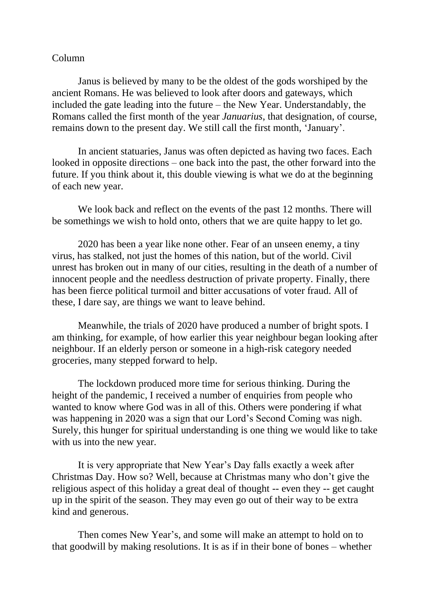## Column

Janus is believed by many to be the oldest of the gods worshiped by the ancient Romans. He was believed to look after doors and gateways, which included the gate leading into the future – the New Year. Understandably, the Romans called the first month of the year *Januarius*, that designation, of course, remains down to the present day. We still call the first month, 'January'.

In ancient statuaries, Janus was often depicted as having two faces. Each looked in opposite directions – one back into the past, the other forward into the future. If you think about it, this double viewing is what we do at the beginning of each new year.

We look back and reflect on the events of the past 12 months. There will be somethings we wish to hold onto, others that we are quite happy to let go.

2020 has been a year like none other. Fear of an unseen enemy, a tiny virus, has stalked, not just the homes of this nation, but of the world. Civil unrest has broken out in many of our cities, resulting in the death of a number of innocent people and the needless destruction of private property. Finally, there has been fierce political turmoil and bitter accusations of voter fraud. All of these, I dare say, are things we want to leave behind.

Meanwhile, the trials of 2020 have produced a number of bright spots. I am thinking, for example, of how earlier this year neighbour began looking after neighbour. If an elderly person or someone in a high-risk category needed groceries, many stepped forward to help.

The lockdown produced more time for serious thinking. During the height of the pandemic, I received a number of enquiries from people who wanted to know where God was in all of this. Others were pondering if what was happening in 2020 was a sign that our Lord's Second Coming was nigh. Surely, this hunger for spiritual understanding is one thing we would like to take with us into the new year.

It is very appropriate that New Year's Day falls exactly a week after Christmas Day. How so? Well, because at Christmas many who don't give the religious aspect of this holiday a great deal of thought -- even they -- get caught up in the spirit of the season. They may even go out of their way to be extra kind and generous.

Then comes New Year's, and some will make an attempt to hold on to that goodwill by making resolutions. It is as if in their bone of bones – whether